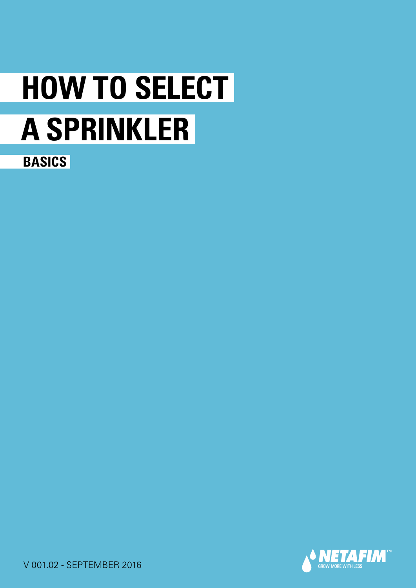# **HOW TO SELECT A SPRINKLER**

**BASICS**



V 001.02 - SEPTEMBER 2016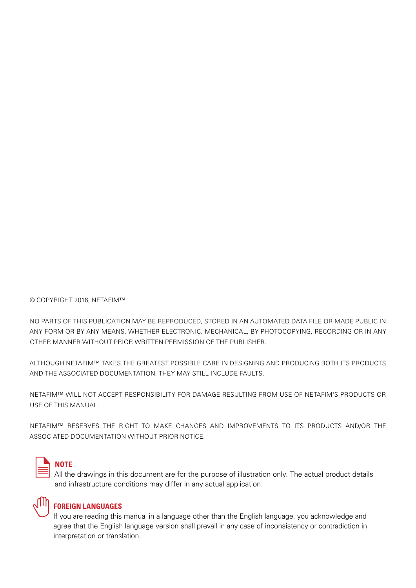© COPYRIGHT 2016, NETAFIM™

NO PARTS OF THIS PUBLICATION MAY BE REPRODUCED, STORED IN AN AUTOMATED DATA FILE OR MADE PUBLIC IN ANY FORM OR BY ANY MEANS, WHETHER ELECTRONIC, MECHANICAL, BY PHOTOCOPYING, RECORDING OR IN ANY OTHER MANNER WITHOUT PRIOR WRITTEN PERMISSION OF THE PUBLISHER.

ALTHOUGH NETAFIM™ TAKES THE GREATEST POSSIBLE CARE IN DESIGNING AND PRODUCING BOTH ITS PRODUCTS AND THE ASSOCIATED DOCUMENTATION, THEY MAY STILL INCLUDE FAULTS.

NETAFIM™ WILL NOT ACCEPT RESPONSIBILITY FOR DAMAGE RESULTING FROM USE OF NETAFIM'S PRODUCTS OR USE OF THIS MANUAL.

NETAFIM™ RESERVES THE RIGHT TO MAKE CHANGES AND IMPROVEMENTS TO ITS PRODUCTS AND/OR THE ASSOCIATED DOCUMENTATION WITHOUT PRIOR NOTICE.



### **NOTE**

All the drawings in this document are for the purpose of illustration only. The actual product details and infrastructure conditions may differ in any actual application.



### **FOREIGN LANGUAGES**

If you are reading this manual in a language other than the English language, you acknowledge and agree that the English language version shall prevail in any case of inconsistency or contradiction in interpretation or translation.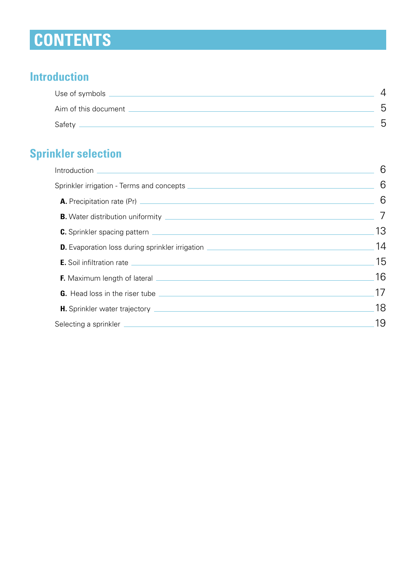# **CONTENTS**

# **Introduction**

| Use of symbols.      |    |
|----------------------|----|
| Aim of this document | Б. |
| Safety               | Б  |

# **Sprinkler selection**

|                                                                                                                                                                                                                                           | 6  |
|-------------------------------------------------------------------------------------------------------------------------------------------------------------------------------------------------------------------------------------------|----|
|                                                                                                                                                                                                                                           | 6  |
|                                                                                                                                                                                                                                           | 6  |
|                                                                                                                                                                                                                                           |    |
|                                                                                                                                                                                                                                           | 13 |
| <b>D.</b> Evaporation loss during sprinkler irrigation <b>Constant Constant Constant Constant Constant Constant Constant Constant Constant Constant Constant Constant Constant Constant Constant Constant Constant Constant Constant </b> | 14 |
| <b>E.</b> Soil infiltration rate entrance and the state of the state of the state of the state of the state of the state of the state of the state of the state of the state of the state of the state of the state of the state of       | 15 |
|                                                                                                                                                                                                                                           | 16 |
|                                                                                                                                                                                                                                           | 17 |
|                                                                                                                                                                                                                                           | 18 |
| Selecting a sprinkler <u>example and the selecting</u> a series of the selection of the selection of the selection of the selection of the selection of the selection of the selection of the selection of the selection of the sel       | 19 |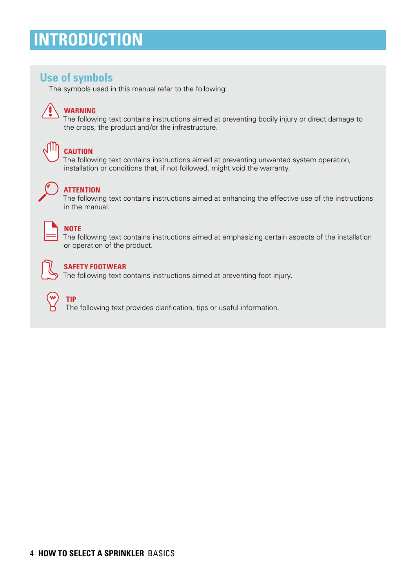# <span id="page-3-0"></span>**INTRODUCTION**

# **Use of symbols**

The symbols used in this manual refer to the following:



### **WARNING**

The following text contains instructions aimed at preventing bodily injury or direct damage to the crops, the product and/or the infrastructure.



# **CAUTION**

The following text contains instructions aimed at preventing unwanted system operation, installation or conditions that, if not followed, might void the warranty.



# **ATTENTION**

The following text contains instructions aimed at enhancing the effective use of the instructions in the manual.



# **NOTE**

The following text contains instructions aimed at emphasizing certain aspects of the installation or operation of the product.



## **SAFETY FOOTWEAR**

The following text contains instructions aimed at preventing foot injury.



# **TIP**

The following text provides clarification, tips or useful information.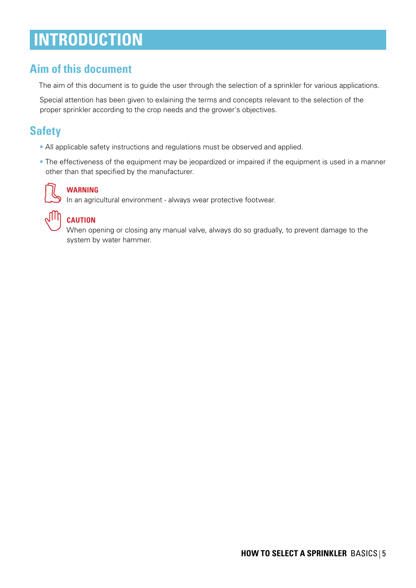# <span id="page-4-0"></span>**INTRODUCTION**

# **Aim of this document**

The aim of this document is to guide the user through the selection of a sprinkler for various applications.

Special attention has been given to exlaining the terms and concepts relevant to the selection of the proper sprinkler according to the crop needs and the grower's objectives.

# **Safety**

- All applicable safety instructions and regulations must be observed and applied.
- The effectiveness of the equipment may be jeopardized or impaired if the equipment is used in a manner other than that specified by the manufacturer.



### **WARNING**

In an agricultural environment - always wear protective footwear.



### **CAUTION**

When opening or closing any manual valve, always do so gradually, to prevent damage to the system by water hammer.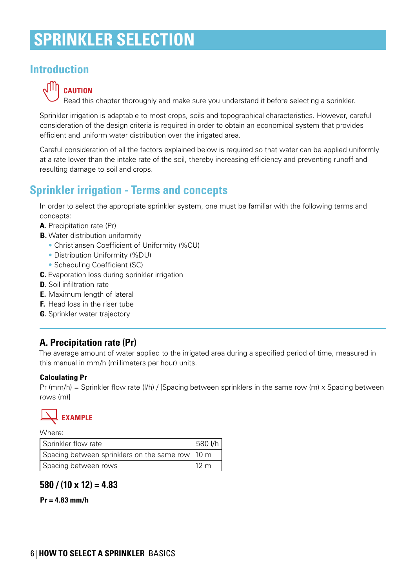# <span id="page-5-0"></span>**Introduction**



Read this chapter thoroughly and make sure you understand it before selecting a sprinkler.

Sprinkler irrigation is adaptable to most crops, soils and topographical characteristics. However, careful consideration of the design criteria is required in order to obtain an economical system that provides efficient and uniform water distribution over the irrigated area.

Careful consideration of all the factors explained below is required so that water can be applied uniformly at a rate lower than the intake rate of the soil, thereby increasing efficiency and preventing runoff and resulting damage to soil and crops.

# **Sprinkler irrigation - Terms and concepts**

In order to select the appropriate sprinkler system, one must be familiar with the following terms and concepts:

- **A.** Precipitation rate (Pr)
- **B.** [Water distribution uniformity](#page-6-0)
	- [Christiansen Coefficient of Uniformity \(%CU\)](#page-7-0)
	- [Distribution Uniformity \(%DU\)](#page-8-0)
	- [Scheduling Coefficient \(SC\)](#page-10-0)
- **C.** [Evaporation loss during sprinkler irrigation](#page-13-0)
- **D.** [Soil infiltration rate](#page-14-0)
- **E.** [Maximum length of lateral](#page-15-0)
- **F.** [Head loss in the riser tube](#page-16-0)
- **G.** [Sprinkler water trajectory](#page-17-0)

# **A. Precipitation rate (Pr)**

The average amount of water applied to the irrigated area during a specified period of time, measured in this manual in mm/h (millimeters per hour) units.

### **Calculating Pr**

Pr (mm/h) = Sprinkler flow rate (l/h) / [Spacing between sprinklers in the same row (m) x Spacing between rows (m)]



Where:

| Sprinkler flow rate                             | 580 l/h        |
|-------------------------------------------------|----------------|
| Spacing between sprinklers on the same row 10 m |                |
| Spacing between rows                            | $12 \text{ m}$ |

## **580 / (10 x 12) = 4.83**

### **Pr = 4.83 mm/h**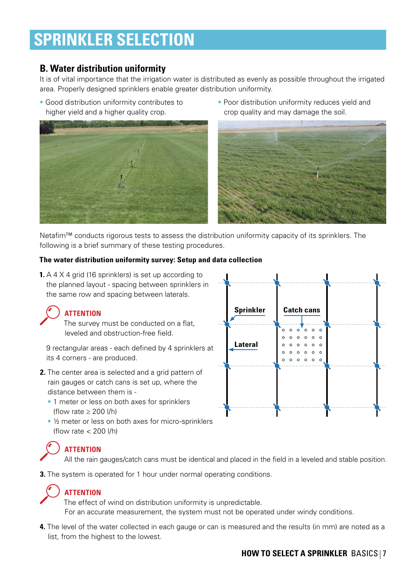# <span id="page-6-0"></span>**B. Water distribution uniformity**

It is of vital importance that the irrigation water is distributed as evenly as possible throughout the irrigated area. Properly designed sprinklers enable greater distribution uniformity.

• Good distribution uniformity contributes to higher yield and a higher quality crop.



• Poor distribution uniformity reduces yield and crop quality and may damage the soil.



Netafim™ conducts rigorous tests to assess the distribution uniformity capacity of its sprinklers. The following is a brief summary of these testing procedures.

### **The water distribution uniformity survey: Setup and data collection**

**1.** A 4 X 4 grid (16 sprinklers) is set up according to the planned layout - spacing between sprinklers in the same row and spacing between laterals.

## **ATTENTION**

The survey must be conducted on a flat, leveled and obstruction-free field.

9 rectangular areas - each defined by 4 sprinklers at its 4 corners - are produced.

- **2.** The center area is selected and a grid pattern of rain gauges or catch cans is set up, where the distance between them is -
	- 1 meter or less on both axes for sprinklers (flow rate  $\geq 200$  I/h)
	- ½ meter or less on both axes for micro-sprinklers (flow rate < 200 l/h)

# **ATTENTION**

All the rain gauges/catch cans must be identical and placed in the field in a leveled and stable position.

**3.** The system is operated for 1 hour under normal operating conditions.

# **ATTENTION**

The effect of wind on distribution uniformity is unpredictable. For an accurate measurement, the system must not be operated under windy conditions.

**4.** The level of the water collected in each gauge or can is measured and the results (in mm) are noted as a list, from the highest to the lowest.

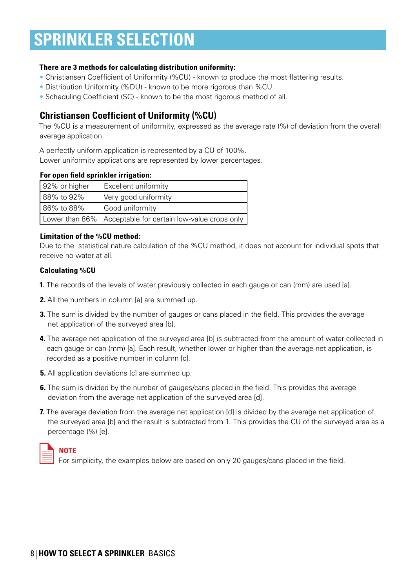### <span id="page-7-0"></span>**There are 3 methods for calculating distribution uniformity:**

- Christiansen Coefficient of Uniformity (%CU) known to produce the most flattering results.
- Distribution Uniformity (%DU) known to be more rigorous than %CU.
- Scheduling Coefficient (SC) known to be the most rigorous method of all.

## **Christiansen Coefficient of Uniformity (%CU)**

The %CU is a measurement of uniformity, expressed as the average rate (%) of deviation from the overall average application.

A perfectly uniform application is represented by a CU of 100%. Lower uniformity applications are represented by lower percentages.

#### **For open field sprinkler irrigation:**

| 92% or higher | <b>Excellent uniformity</b>                                  |  |
|---------------|--------------------------------------------------------------|--|
| 88% to 92%    | Very good uniformity                                         |  |
| 86% to 88%    | Good uniformity                                              |  |
|               | Lower than 86%   Acceptable for certain low-value crops only |  |

#### **Limitation of the %CU method:**

Due to the statistical nature calculation of the %CU method, it does not account for individual spots that receive no water at all.

#### **Calculating %CU**

- **1.** The records of the levels of water previously collected in each gauge or can (mm) are used [a].
- **2.** All the numbers in column [a] are summed up.
- **3.** The sum is divided by the number of gauges or cans placed in the field. This provides the average net application of the surveyed area [b].
- **4.** The average net application of the surveyed area [b] is subtracted from the amount of water collected in each gauge or can (mm) [a]. Each result, whether lower or higher than the average net application, is recorded as a positive number in column [c].
- **5.** All application deviations [c] are summed up.
- **6.** The sum is divided by the number of gauges/cans placed in the field. This provides the average deviation from the average net application of the surveyed area [d].
- **7.** The average deviation from the average net application [d] is divided by the average net application of the surveyed area [b] and the result is subtracted from 1. This provides the CU of the surveyed area as a percentage (%) [e].

| ______ |  |
|--------|--|
|        |  |
|        |  |

### **NOTE**

For simplicity, the examples below are based on only 20 gauges/cans placed in the field.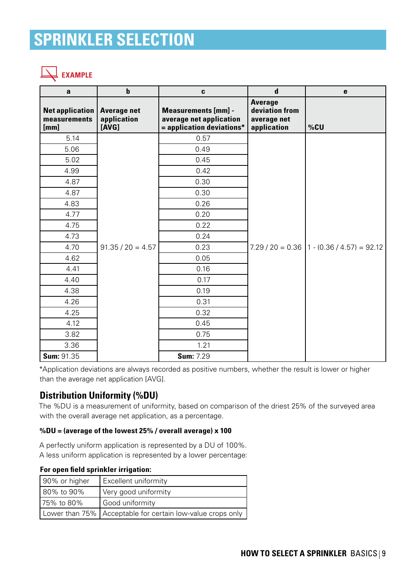# <span id="page-8-0"></span>**EXAMPLE**

| $\mathbf{a}$                                   | $\mathbf b$                                | C                                                                                  | $\mathbf d$                                                    | $\mathbf{e}$                                   |
|------------------------------------------------|--------------------------------------------|------------------------------------------------------------------------------------|----------------------------------------------------------------|------------------------------------------------|
| <b>Net application</b><br>measurements<br>[mm] | <b>Average net</b><br>application<br>[AVG] | <b>Measurements [mm] -</b><br>average net application<br>= application deviations* | <b>Average</b><br>deviation from<br>average net<br>application | %CU                                            |
| 5.14                                           |                                            | 0.57                                                                               |                                                                |                                                |
| 5.06                                           |                                            | 0.49                                                                               |                                                                |                                                |
| 5.02                                           |                                            | 0.45                                                                               |                                                                |                                                |
| 4.99                                           |                                            | 0.42                                                                               |                                                                |                                                |
| 4.87                                           |                                            | 0.30                                                                               |                                                                |                                                |
| 4.87                                           |                                            | 0.30                                                                               |                                                                |                                                |
| 4.83                                           |                                            | 0.26                                                                               |                                                                |                                                |
| 4.77                                           |                                            | 0.20                                                                               |                                                                |                                                |
| 4.75                                           |                                            | 0.22                                                                               |                                                                |                                                |
| 4.73                                           |                                            | 0.24                                                                               |                                                                |                                                |
| 4.70                                           | $91.35 / 20 = 4.57$                        | 0.23                                                                               |                                                                | $7.29 / 20 = 0.36$   1 - (0.36 / 4.57) = 92.12 |
| 4.62                                           |                                            | 0.05                                                                               |                                                                |                                                |
| 4.41                                           |                                            | 0.16                                                                               |                                                                |                                                |
| 4.40                                           |                                            | 0.17                                                                               |                                                                |                                                |
| 4.38                                           |                                            | 0.19                                                                               |                                                                |                                                |
| 4.26                                           |                                            | 0.31                                                                               |                                                                |                                                |
| 4.25                                           |                                            | 0.32                                                                               |                                                                |                                                |
| 4.12                                           |                                            | 0.45                                                                               |                                                                |                                                |
| 3.82                                           |                                            | 0.75                                                                               |                                                                |                                                |
| 3.36                                           |                                            | 1.21                                                                               |                                                                |                                                |
| <b>Sum: 91.35</b>                              |                                            | <b>Sum: 7.29</b>                                                                   |                                                                |                                                |

\*Application deviations are always recorded as positive numbers, whether the result is lower or higher than the average net application [AVG].

# **Distribution Uniformity (%DU)**

The %DU is a measurement of uniformity, based on comparison of the driest 25% of the surveyed area with the overall average net application, as a percentage.

### **%DU = (average of the lowest 25% / overall average) x 100**

A perfectly uniform application is represented by a DU of 100%. A less uniform application is represented by a lower percentage:

### **For open field sprinkler irrigation:**

| 90% or higher | <b>Excellent uniformity</b>                                |
|---------------|------------------------------------------------------------|
| 80% to 90%    | Very good uniformity                                       |
| 75% to 80%    | Good uniformity                                            |
|               | Lower than 75% Acceptable for certain low-value crops only |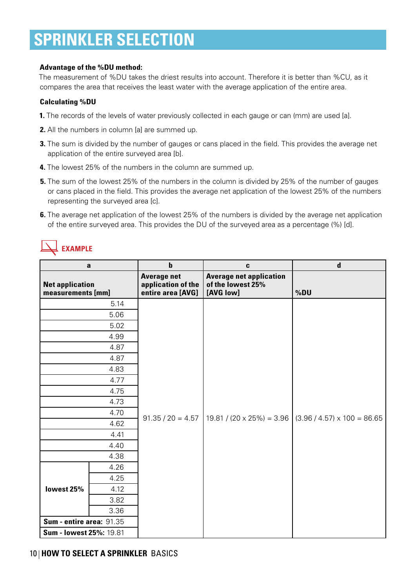### **Advantage of the %DU method:**

The measurement of %DU takes the driest results into account. Therefore it is better than %CU, as it compares the area that receives the least water with the average application of the entire area.

### **Calculating %DU**

- **1.** The records of the levels of water previously collected in each gauge or can (mm) are used [a].
- **2.** All the numbers in column [a] are summed up.
- **3.** The sum is divided by the number of gauges or cans placed in the field. This provides the average net application of the entire surveyed area [b].
- **4.** The lowest 25% of the numbers in the column are summed up.
- **5.** The sum of the lowest 25% of the numbers in the column is divided by 25% of the number of gauges or cans placed in the field. This provides the average net application of the lowest 25% of the numbers representing the surveyed area [c].
- **6.** The average net application of the lowest 25% of the numbers is divided by the average net application of the entire surveyed area. This provides the DU of the surveyed area as a percentage (%) [d].

# **EXAMPLE**

| a                                           |      | $\mathbf b$                                                   | C                                                                | $\mathbf d$                        |
|---------------------------------------------|------|---------------------------------------------------------------|------------------------------------------------------------------|------------------------------------|
| <b>Net application</b><br>measurements [mm] |      | <b>Average net</b><br>application of the<br>entire area [AVG] | <b>Average net application</b><br>of the lowest 25%<br>[AVG low] | %DU                                |
|                                             | 5.14 |                                                               |                                                                  |                                    |
|                                             | 5.06 |                                                               |                                                                  |                                    |
|                                             | 5.02 |                                                               |                                                                  |                                    |
|                                             | 4.99 |                                                               |                                                                  |                                    |
|                                             | 4.87 |                                                               |                                                                  |                                    |
|                                             | 4.87 |                                                               |                                                                  |                                    |
|                                             | 4.83 |                                                               |                                                                  |                                    |
|                                             | 4.77 |                                                               |                                                                  |                                    |
|                                             | 4.75 |                                                               |                                                                  |                                    |
|                                             | 4.73 |                                                               |                                                                  |                                    |
|                                             | 4.70 |                                                               | $91.35 / 20 = 4.57$   19.81 / (20 x 25%) = 3.96                  | $(3.96 / 4.57) \times 100 = 86.65$ |
|                                             | 4.62 |                                                               |                                                                  |                                    |
|                                             | 4.41 |                                                               |                                                                  |                                    |
|                                             | 4.40 |                                                               |                                                                  |                                    |
|                                             | 4.38 |                                                               |                                                                  |                                    |
|                                             | 4.26 |                                                               |                                                                  |                                    |
|                                             | 4.25 |                                                               |                                                                  |                                    |
| lowest 25%                                  | 4.12 |                                                               |                                                                  |                                    |
|                                             | 3.82 |                                                               |                                                                  |                                    |
|                                             | 3.36 |                                                               |                                                                  |                                    |
| Sum - entire area: 91.35                    |      |                                                               |                                                                  |                                    |
| Sum - lowest 25%: 19.81                     |      |                                                               |                                                                  |                                    |

### 10 **HOW TO SELECT A SPRINKLER** BASICS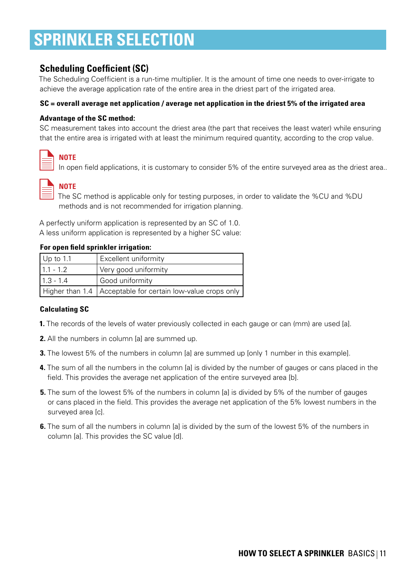# <span id="page-10-0"></span>**Scheduling Coefficient (SC)**

The Scheduling Coefficient is a run-time multiplier. It is the amount of time one needs to over-irrigate to achieve the average application rate of the entire area in the driest part of the irrigated area.

### **SC = overall average net application / average net application in the driest 5% of the irrigated area**

### **Advantage of the SC method:**

SC measurement takes into account the driest area (the part that receives the least water) while ensuring that the entire area is irrigated with at least the minimum required quantity, according to the crop value.

#### **NOTE**

 $\equiv$  In open field applications, it is customary to consider 5% of the entire surveyed area as the driest area..



## **NOTE**

The SC method is applicable only for testing purposes, in order to validate the %CU and %DU methods and is not recommended for irrigation planning.

A perfectly uniform application is represented by an SC of 1.0. A less uniform application is represented by a higher SC value:

### **For open field sprinkler irrigation:**

| $Up$ to 1.1  | <b>Excellent uniformity</b>                                   |
|--------------|---------------------------------------------------------------|
| $11.1 - 1.2$ | Very good uniformity                                          |
| $1.3 - 1.4$  | Good uniformity                                               |
|              | Higher than 1.4   Acceptable for certain low-value crops only |

### **Calculating SC**

- **1.** The records of the levels of water previously collected in each gauge or can (mm) are used [a].
- **2.** All the numbers in column [a] are summed up.
- **3.** The lowest 5% of the numbers in column [a] are summed up [only 1 number in this example].
- **4.** The sum of all the numbers in the column [a] is divided by the number of gauges or cans placed in the field. This provides the average net application of the entire surveyed area [b].
- **5.** The sum of the lowest 5% of the numbers in column [a] is divided by 5% of the number of gauges or cans placed in the field. This provides the average net application of the 5% lowest numbers in the surveyed area [c].
- **6.** The sum of all the numbers in column [a] is divided by the sum of the lowest 5% of the numbers in column [a]. This provides the SC value [d].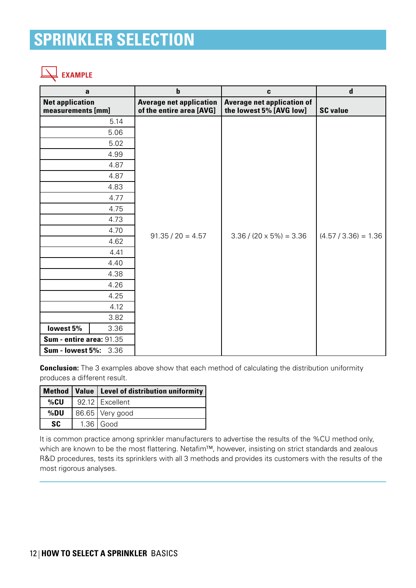

| a                                           | $\mathbf b$                                                | C                                                            | $\mathbf d$            |
|---------------------------------------------|------------------------------------------------------------|--------------------------------------------------------------|------------------------|
| <b>Net application</b><br>measurements [mm] | <b>Average net application</b><br>of the entire area [AVG] | <b>Average net application of</b><br>the lowest 5% [AVG low] | <b>SC value</b>        |
| 5.14                                        |                                                            |                                                              |                        |
| 5.06                                        |                                                            |                                                              |                        |
| 5.02                                        |                                                            |                                                              |                        |
| 4.99                                        |                                                            |                                                              |                        |
| 4.87                                        |                                                            |                                                              |                        |
| 4.87                                        |                                                            |                                                              |                        |
| 4.83                                        |                                                            |                                                              |                        |
| 4.77                                        |                                                            |                                                              |                        |
| 4.75                                        |                                                            |                                                              |                        |
| 4.73                                        |                                                            |                                                              |                        |
| 4.70                                        | $91.35 / 20 = 4.57$                                        | $3.36 / (20 \times 5\%) = 3.36$                              | $(4.57 / 3.36) = 1.36$ |
| 4.62                                        |                                                            |                                                              |                        |
| 4.41                                        |                                                            |                                                              |                        |
| 4.40                                        |                                                            |                                                              |                        |
| 4.38                                        |                                                            |                                                              |                        |
| 4.26                                        |                                                            |                                                              |                        |
| 4.25                                        |                                                            |                                                              |                        |
| 4.12                                        |                                                            |                                                              |                        |
| 3.82                                        |                                                            |                                                              |                        |
| lowest 5%<br>3.36                           |                                                            |                                                              |                        |
| Sum - entire area: 91.35                    |                                                            |                                                              |                        |
| 3.36<br>Sum - lowest 5%:                    |                                                            |                                                              |                        |

**Conclusion:** The 3 examples above show that each method of calculating the distribution uniformity produces a different result.

|           | Method   Value   Level of distribution uniformity |
|-----------|---------------------------------------------------|
| $%$ CU    | $\vert$ 92.12 Excellent                           |
| %DU       | 86.65 Very good                                   |
| <b>SC</b> | $1.36$ Good                                       |

It is common practice among sprinkler manufacturers to advertise the results of the %CU method only, which are known to be the most flattering. Netafim™, however, insisting on strict standards and zealous R&D procedures, tests its sprinklers with all 3 methods and provides its customers with the results of the most rigorous analyses.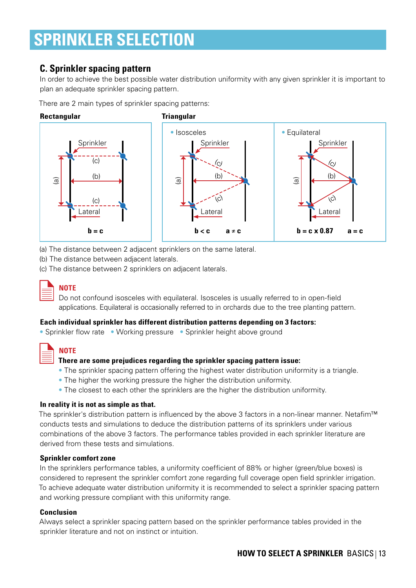# <span id="page-12-0"></span>**C. Sprinkler spacing pattern**

In order to achieve the best possible water distribution uniformity with any given sprinkler it is important to plan an adequate sprinkler spacing pattern.

There are 2 main types of sprinkler spacing patterns:



(a) The distance between 2 adjacent sprinklers on the same lateral.

- (b) The distance between adjacent laterals.
- (c) The distance between 2 sprinklers on adjacent laterals.



### **NOTE**

Do not confound isosceles with equilateral. Isosceles is usually referred to in open-field applications. Equilateral is occasionally referred to in orchards due to the tree planting pattern.

### **Each individual sprinkler has different distribution patterns depending on 3 factors:**

• Sprinkler flow rate • Working pressure • Sprinkler height above ground



# **NOTE**

### **There are some prejudices regarding the sprinkler spacing pattern issue:**

- The sprinkler spacing pattern offering the highest water distribution uniformity is a triangle.
- The higher the working pressure the higher the distribution uniformity.
- The closest to each other the sprinklers are the higher the distribution uniformity.

### **In reality it is not as simple as that.**

The sprinkler's distribution pattern is influenced by the above 3 factors in a non-linear manner. Netafim™ conducts tests and simulations to deduce the distribution patterns of its sprinklers under various combinations of the above 3 factors. The performance tables provided in each sprinkler literature are derived from these tests and simulations.

### **Sprinkler comfort zone**

In the sprinklers performance tables, a uniformity coefficient of 88% or higher (green/blue boxes) is considered to represent the sprinkler comfort zone regarding full coverage open field sprinkler irrigation. To achieve adequate water distribution uniformity it is recommended to select a sprinkler spacing pattern and working pressure compliant with this uniformity range.

### **Conclusion**

Always select a sprinkler spacing pattern based on the sprinkler performance tables provided in the sprinkler literature and not on instinct or intuition.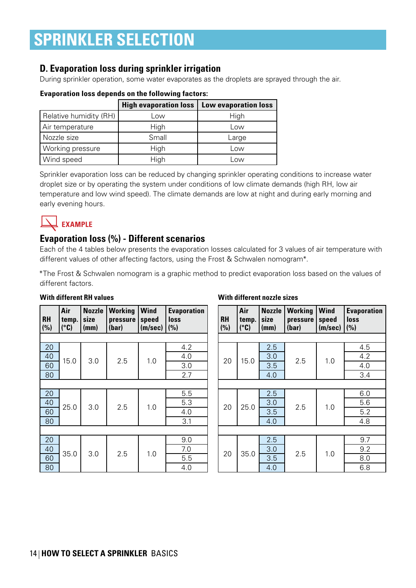# <span id="page-13-0"></span>**D. Evaporation loss during sprinkler irrigation**

During sprinkler operation, some water evaporates as the droplets are sprayed through the air.

|                        | <b>High evaporation loss</b> | Low evaporation loss |
|------------------------|------------------------------|----------------------|
| Relative humidity (RH) | Low                          | High                 |
| Air temperature        | High                         | Low                  |
| Nozzle size            | Small                        | Large                |
| Working pressure       | High                         | Low                  |
| Wind speed             | High                         | _OW                  |

### **Evaporation loss depends on the following factors:**

Sprinkler evaporation loss can be reduced by changing sprinkler operating conditions to increase water droplet size or by operating the system under conditions of low climate demands (high RH, low air temperature and low wind speed). The climate demands are low at night and during early morning and early evening hours.

# **EXAMPLE**

# **Evaporation loss (%) - Different scenarios**

Each of the 4 tables below presents the evaporation losses calculated for 3 values of air temperature with different values of other affecting factors, using the Frost & Schwalen nomogram\*.

\*The Frost & Schwalen nomogram is a graphic method to predict evaporation loss based on the values of different factors.

| <b>RH</b><br>(%) | Air<br>temp.<br>$(^{\circ}C)$ | <b>Nozzle</b><br>size<br>(mm) | <b>Working</b><br>pressure<br>(bar) | <b>Wind</b><br>speed<br>(m/sec) | <b>Evaporation</b><br><b>loss</b><br>(%) | <b>RH</b><br>(%) | Air<br>temp.<br>$(^{\circ}C)$ | <b>Nozzle</b><br>size<br>(mm) | <b>Working</b><br>pressure<br>(bar) | <b>Wind</b><br>speed<br>(m/sec) | <b>Evaporation</b><br><b>loss</b><br>(%) |
|------------------|-------------------------------|-------------------------------|-------------------------------------|---------------------------------|------------------------------------------|------------------|-------------------------------|-------------------------------|-------------------------------------|---------------------------------|------------------------------------------|
|                  |                               |                               |                                     |                                 |                                          |                  |                               |                               |                                     |                                 |                                          |
| 20               |                               |                               |                                     |                                 | 4.2                                      |                  |                               | 2.5                           |                                     |                                 | 4.5                                      |
| 40               | 15.0                          | 3.0                           | 2.5                                 | 1.0                             | 4.0                                      | 20               | 15.0                          | 3.0                           | 2.5                                 | 1.0                             | 4.2                                      |
| 60               |                               |                               |                                     |                                 | 3.0                                      |                  |                               | 3.5                           |                                     |                                 | 4.0                                      |
| 80               |                               |                               |                                     |                                 | 2.7                                      |                  |                               | 4.0                           |                                     |                                 | 3.4                                      |
|                  |                               |                               |                                     |                                 |                                          |                  |                               |                               |                                     |                                 |                                          |
| 20               |                               |                               |                                     |                                 | 5.5                                      |                  |                               | 2.5                           |                                     |                                 | 6.0                                      |
| 40               | 25.0                          | 3.0                           | 2.5                                 |                                 | 5.3                                      | 20               |                               | 3.0                           |                                     |                                 | 5.6                                      |
| 60               |                               |                               |                                     | 1.0                             | 4.0                                      |                  | 25.0                          | 3.5                           | 2.5                                 | 1.0                             | 5.2                                      |
| 80               |                               |                               |                                     |                                 | 3.1                                      |                  |                               | 4.0                           |                                     |                                 | 4.8                                      |
|                  |                               |                               |                                     |                                 |                                          |                  |                               |                               |                                     |                                 |                                          |
| 20               |                               |                               |                                     |                                 | 9.0                                      |                  |                               | 2.5                           |                                     |                                 | 9.7                                      |
| 40               |                               |                               |                                     |                                 | 7.0                                      |                  |                               | 3.0                           |                                     |                                 | 9.2                                      |
| 60               | 35.0                          | 3.0                           | 2.5                                 | 1.0                             | 5.5                                      | 20               | 35.0                          | 3.5                           | 2.5                                 | 1.0                             | 8.0                                      |
| 80               |                               |                               |                                     |                                 | 4.0                                      |                  |                               | 4.0                           |                                     |                                 | 6.8                                      |

### **With different RH values**

### **With different nozzle sizes**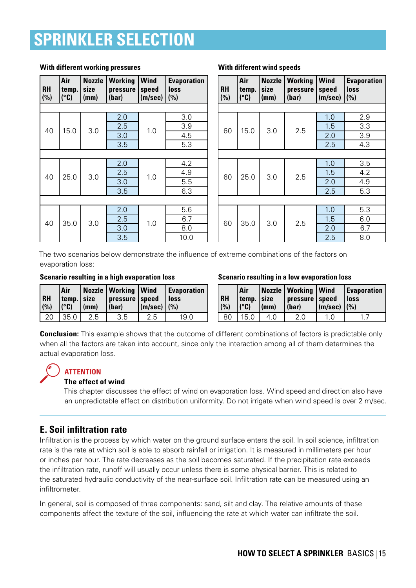| <b>RH</b><br>(%) | Air<br>temp.<br>$(^{\circ}C)$ | <b>Nozzle</b><br>size<br>(mm) | <b>Working</b><br>pressure<br>(bar) | <b>Wind</b><br>speed<br>(m/sec) | <b>Evaporation</b><br><b>loss</b><br>(%) | <b>RI</b><br>(% |
|------------------|-------------------------------|-------------------------------|-------------------------------------|---------------------------------|------------------------------------------|-----------------|
|                  |                               |                               |                                     |                                 |                                          |                 |
|                  |                               |                               | 2.0                                 |                                 | 3.0                                      |                 |
|                  | 15.0                          |                               | 2.5                                 |                                 | 3.9                                      |                 |
| 40               |                               | 3.0                           | 3.0                                 | 1.0                             | 4.5                                      | 6               |
|                  |                               |                               | 3.5                                 |                                 | 5.3                                      |                 |
|                  |                               |                               |                                     |                                 |                                          |                 |
|                  |                               |                               | 2.0                                 |                                 | 4.2                                      |                 |
|                  | 25.0                          | 3.0                           | 2.5                                 |                                 | 4.9                                      |                 |
| 40               |                               |                               | 3.0                                 | 1.0                             | 5.5                                      | 6               |
|                  |                               |                               | 3.5                                 |                                 | 6.3                                      |                 |
|                  |                               |                               |                                     |                                 |                                          |                 |
|                  |                               |                               | 2.0                                 |                                 | 5.6                                      |                 |
|                  |                               |                               | 2.5                                 |                                 | 6.7                                      |                 |
| 40               | 35.0                          | 3.0                           | 3.0                                 | 1.0                             | 8.0                                      | 6               |
|                  |                               |                               | 3.5                                 |                                 | 10.0                                     |                 |

#### <span id="page-14-0"></span>**With different working pressures**

| <b>RH</b><br>(%) | Air<br>temp.<br>(°C) | <b>Nozzle</b><br>size<br>(mm) | <b>Working</b><br>pressure<br>(har) | <b>Wind</b><br>speed<br>(m/sec) | <b>Evaporation</b><br>loss<br>(%) |  |  |  |  |  |  |  |  |  |  |     |
|------------------|----------------------|-------------------------------|-------------------------------------|---------------------------------|-----------------------------------|--|--|--|--|--|--|--|--|--|--|-----|
|                  |                      |                               |                                     |                                 |                                   |  |  |  |  |  |  |  |  |  |  |     |
|                  |                      |                               |                                     | 1.0                             | 2.9                               |  |  |  |  |  |  |  |  |  |  |     |
| 60               | 15.0                 | 3.0                           | 2.5                                 | 1.5                             | 3.3                               |  |  |  |  |  |  |  |  |  |  |     |
|                  |                      |                               |                                     | 2.0                             | 3.9                               |  |  |  |  |  |  |  |  |  |  |     |
|                  |                      |                               |                                     | 2.5                             | 4.3                               |  |  |  |  |  |  |  |  |  |  |     |
|                  |                      |                               |                                     |                                 |                                   |  |  |  |  |  |  |  |  |  |  |     |
|                  |                      |                               |                                     | 1.0                             | 3.5                               |  |  |  |  |  |  |  |  |  |  |     |
|                  |                      | 3.0                           | 2.5                                 | 1.5                             | 4.2                               |  |  |  |  |  |  |  |  |  |  |     |
| 60               | 25.0                 |                               |                                     |                                 |                                   |  |  |  |  |  |  |  |  |  |  | 2.0 |
|                  |                      |                               |                                     | 2.5                             | 5.3                               |  |  |  |  |  |  |  |  |  |  |     |
|                  |                      |                               |                                     |                                 |                                   |  |  |  |  |  |  |  |  |  |  |     |
|                  |                      |                               |                                     | 1.0                             | 5.3                               |  |  |  |  |  |  |  |  |  |  |     |
| 60               |                      |                               |                                     | 1.5                             | 6.0                               |  |  |  |  |  |  |  |  |  |  |     |
|                  | 35.0                 | 3.0                           | 2.5                                 | 2.0                             | 6.7                               |  |  |  |  |  |  |  |  |  |  |     |

**With different wind speeds**

#### The two scenarios below demonstrate the influence of extreme combinations of the factors on evaporation loss:

#### **Scenario resulting in a high evaporation loss Scenario resulting in a low evaporation loss**

| <b>RH</b><br>$($ %) | Air<br>temp. size<br>$  (^\circ \mathbf{C})  $ | $\mathsf{I}(\mathsf{mm})$ | Nozzle   Working   Wind<br>  pressure   speed<br>$ $ (bar) | $\vert$ (m/sec) $\vert$ (%) | Evaporation<br>  loss |  |
|---------------------|------------------------------------------------|---------------------------|------------------------------------------------------------|-----------------------------|-----------------------|--|
| 20                  | 35.0                                           | 2.5                       | 3.5                                                        | 2.5                         | 19.0                  |  |

| <b>RH</b><br>(%) | l Air<br>temp. size<br>$\mathsf{I}(\mathsf{C})$ | $\vert$ (mm) | Nozzle   Working   Wind<br>pressure speed<br>$ $ (bar) | $\vert$ (m/sec) $\vert$ (%) | Evaporation<br>  loss |
|------------------|-------------------------------------------------|--------------|--------------------------------------------------------|-----------------------------|-----------------------|
| 80               | 15.0                                            | 4.0          | 2.0                                                    |                             |                       |

 $2.5$  8.0

**Conclusion:** This example shows that the outcome of different combinations of factors is predictable only when all the factors are taken into account, since only the interaction among all of them determines the actual evaporation loss.

## **ATTENTION**

#### **The effect of wind**

This chapter discusses the effect of wind on evaporation loss. Wind speed and direction also have an unpredictable effect on distribution uniformity. Do not irrigate when wind speed is over 2 m/sec.

## **E. Soil infiltration rate**

Infiltration is the process by which water on the ground surface enters the soil. In soil science, infiltration rate is the rate at which soil is able to absorb rainfall or irrigation. It is measured in millimeters per hour or inches per hour. The rate decreases as the soil becomes saturated. If the precipitation rate exceeds the infiltration rate, runoff will usually occur unless there is some physical barrier. This is related to the saturated hydraulic conductivity of the near-surface soil. Infiltration rate can be measured using an infiltrometer.

In general, soil is composed of three components: sand, silt and clay. The relative amounts of these components affect the texture of the soil, influencing the rate at which water can infiltrate the soil.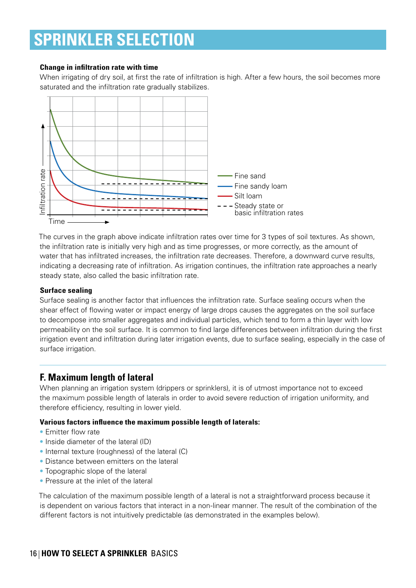#### <span id="page-15-0"></span>**Change in infiltration rate with time**

When irrigating of dry soil, at first the rate of infiltration is high. After a few hours, the soil becomes more saturated and the infiltration rate gradually stabilizes.



The curves in the graph above indicate infiltration rates over time for 3 types of soil textures. As shown, the infiltration rate is initially very high and as time progresses, or more correctly, as the amount of water that has infiltrated increases, the infiltration rate decreases. Therefore, a downward curve results, indicating a decreasing rate of infiltration. As irrigation continues, the infiltration rate approaches a nearly steady state, also called the basic infiltration rate.

### **Surface sealing**

Surface sealing is another factor that influences the infiltration rate. Surface sealing occurs when the shear effect of flowing water or impact energy of large drops causes the aggregates on the soil surface to decompose into smaller aggregates and individual particles, which tend to form a thin layer with low permeability on the soil surface. It is common to find large differences between infiltration during the first irrigation event and infiltration during later irrigation events, due to surface sealing, especially in the case of surface irrigation.

### **F. Maximum length of lateral**

When planning an irrigation system (drippers or sprinklers), it is of utmost importance not to exceed the maximum possible length of laterals in order to avoid severe reduction of irrigation uniformity, and therefore efficiency, resulting in lower yield.

### **Various factors influence the maximum possible length of laterals:**

- Emitter flow rate
- Inside diameter of the lateral (ID)
- Internal texture (roughness) of the lateral (C)
- Distance between emitters on the lateral
- Topographic slope of the lateral
- Pressure at the inlet of the lateral

The calculation of the maximum possible length of a lateral is not a straightforward process because it is dependent on various factors that interact in a non-linear manner. The result of the combination of the different factors is not intuitively predictable (as demonstrated in the examples below).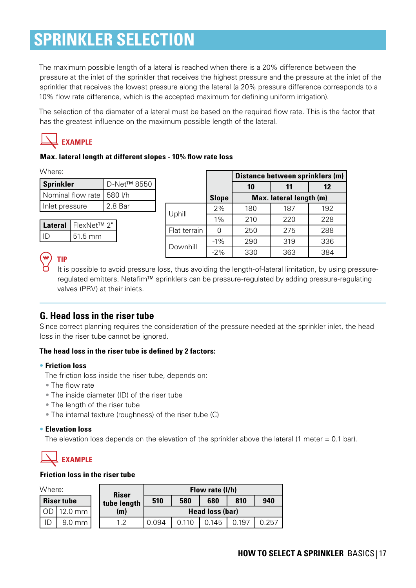<span id="page-16-0"></span>The maximum possible length of a lateral is reached when there is a 20% difference between the pressure at the inlet of the sprinkler that receives the highest pressure and the pressure at the inlet of the sprinkler that receives the lowest pressure along the lateral (a 20% pressure difference corresponds to a 10% flow rate difference, which is the accepted maximum for defining uniform irrigation).

The selection of the diameter of a lateral must be based on the required flow rate. This is the factor that has the greatest influence on the maximum possible length of the lateral.

# **EXAMPLE**

#### **Max. lateral length at different slopes - 10% flow rate loss**

Where:

| <b>Sprinkler</b>            | D-Net <sup>™</sup> 8550 |
|-----------------------------|-------------------------|
| Nominal flow rate   580 l/h |                         |
| Inlet pressure              | 2.8 Bar                 |

| Lateral   FlexNet™ 2" |
|-----------------------|
| $51.5 \text{ mm}$     |

|              |              |                         | Distance between sprinklers (m) |     |  |  |
|--------------|--------------|-------------------------|---------------------------------|-----|--|--|
|              |              | 10                      | 11                              | 12  |  |  |
|              | <b>Slope</b> | Max. lateral length (m) |                                 |     |  |  |
| Uphill       | 2%           | 180                     | 187                             | 192 |  |  |
|              | $1\%$        | 210                     | 220                             | 228 |  |  |
| Flat terrain | 0            | 250                     | 275                             | 288 |  |  |
| Downhill     | $-1%$        | 290                     | 319                             | 336 |  |  |
|              | $-2%$        | 330                     | 363                             | 384 |  |  |

# **TIP**

It is possible to avoid pressure loss, thus avoiding the length-of-lateral limitation, by using pressureregulated emitters. Netafim™ sprinklers can be pressure-regulated by adding pressure-regulating valves (PRV) at their inlets.

# **G. Head loss in the riser tube**

Since correct planning requires the consideration of the pressure needed at the sprinkler inlet, the head loss in the riser tube cannot be ignored.

### **The head loss in the riser tube is defined by 2 factors:**

### • **Friction loss**

The friction loss inside the riser tube, depends on:

- The flow rate
- The inside diameter (ID) of the riser tube
- The length of the riser tube
- The internal texture (roughness) of the riser tube (C)

### • **Elevation loss**

The elevation loss depends on the elevation of the sprinkler above the lateral (1 meter  $= 0.1$  bar).

# **EXAMPLE**

### **Friction loss in the riser tube**

| Where: |                   | <b>Riser</b> |                 | Flow rate (I/h) |       |            |       |  |  |
|--------|-------------------|--------------|-----------------|-----------------|-------|------------|-------|--|--|
|        | <b>Riser tube</b> | tube length  | 510             | 580             | 680   | 810        | 940   |  |  |
|        | $12.0$ mm         | (m)          | Head loss (bar) |                 |       |            |       |  |  |
| IC     | $9.0 \text{ mm}$  | 1 ^          | 0.094           |                 | 0.145 | $0.19^{-}$ | 0.257 |  |  |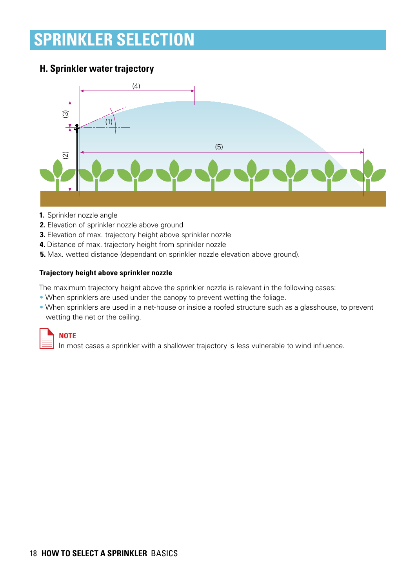# <span id="page-17-0"></span>**H. Sprinkler water trajectory**



- **1.** Sprinkler nozzle angle
- **2.** Elevation of sprinkler nozzle above ground
- **3.** Elevation of max. trajectory height above sprinkler nozzle
- **4.** Distance of max. trajectory height from sprinkler nozzle
- **5.** Max. wetted distance (dependant on sprinkler nozzle elevation above ground).

### **Trajectory height above sprinkler nozzle**

The maximum trajectory height above the sprinkler nozzle is relevant in the following cases:

- When sprinklers are used under the canopy to prevent wetting the foliage.
- When sprinklers are used in a net-house or inside a roofed structure such as a glasshouse, to prevent wetting the net or the ceiling.



### **NOTE**

In most cases a sprinkler with a shallower trajectory is less vulnerable to wind influence.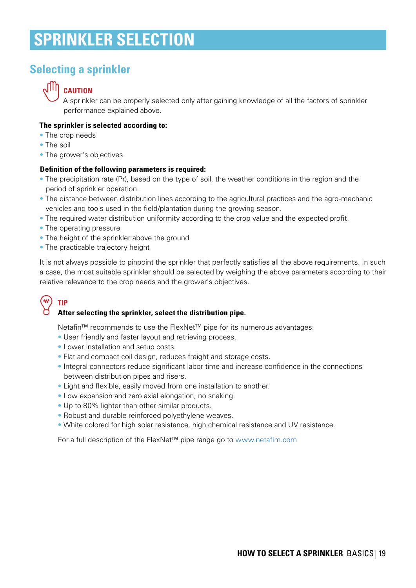# <span id="page-18-0"></span>**Selecting a sprinkler**



## **CAUTION**

A sprinkler can be properly selected only after gaining knowledge of all the factors of sprinkler performance explained above.

#### **The sprinkler is selected according to:**

- The crop needs
- The soil
- The grower's objectives

#### **Definition of the following parameters is required:**

- The precipitation rate (Pr), based on the type of soil, the weather conditions in the region and the period of sprinkler operation.
- The distance between distribution lines according to the agricultural practices and the agro-mechanic vehicles and tools used in the field/plantation during the growing season.
- The required water distribution uniformity according to the crop value and the expected profit.
- The operating pressure
- The height of the sprinkler above the ground
- The practicable trajectory height

It is not always possible to pinpoint the sprinkler that perfectly satisfies all the above requirements. In such a case, the most suitable sprinkler should be selected by weighing the above parameters according to their relative relevance to the crop needs and the grower's objectives.

# **TIP**

### **After selecting the sprinkler, select the distribution pipe.**

Netafin<sup>™</sup> recommends to use the FlexNet<sup>™</sup> pipe for its numerous advantages:

- User friendly and faster layout and retrieving process.
- Lower installation and setup costs.
- Flat and compact coil design, reduces freight and storage costs.
- Integral connectors reduce significant labor time and increase confidence in the connections between distribution pipes and risers.
- Light and flexible, easily moved from one installation to another.
- Low expansion and zero axial elongation, no snaking.
- Up to 80% lighter than other similar products.
- Robust and durable reinforced polyethylene weaves.
- White colored for high solar resistance, high chemical resistance and UV resistance.

For a full description of the FlexNet™ pipe range go to <www.netafim.com>